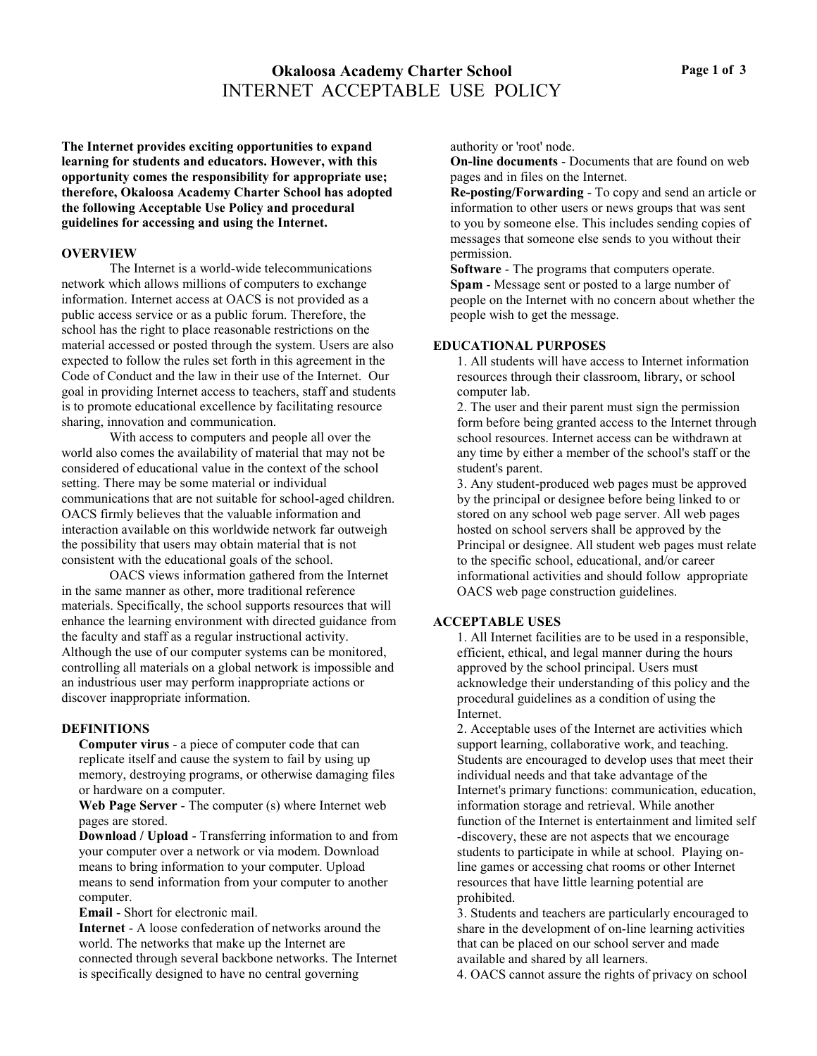# **Okaloosa Academy Charter School** INTERNET ACCEPTABLE USE POLICY

**The Internet provides exciting opportunities to expand learning for students and educators. However, with this opportunity comes the responsibility for appropriate use; therefore, Okaloosa Academy Charter School has adopted the following Acceptable Use Policy and procedural guidelines for accessing and using the Internet.**

#### **OVERVIEW**

The Internet is a world-wide telecommunications network which allows millions of computers to exchange information. Internet access at OACS is not provided as a public access service or as a public forum. Therefore, the school has the right to place reasonable restrictions on the material accessed or posted through the system. Users are also expected to follow the rules set forth in this agreement in the Code of Conduct and the law in their use of the Internet. Our goal in providing Internet access to teachers, staff and students is to promote educational excellence by facilitating resource sharing, innovation and communication.

With access to computers and people all over the world also comes the availability of material that may not be considered of educational value in the context of the school setting. There may be some material or individual communications that are not suitable for school-aged children. OACS firmly believes that the valuable information and interaction available on this worldwide network far outweigh the possibility that users may obtain material that is not consistent with the educational goals of the school.

OACS views information gathered from the Internet in the same manner as other, more traditional reference materials. Specifically, the school supports resources that will enhance the learning environment with directed guidance from the faculty and staff as a regular instructional activity. Although the use of our computer systems can be monitored, controlling all materials on a global network is impossible and an industrious user may perform inappropriate actions or discover inappropriate information.

#### **DEFINITIONS**

**Computer virus** - a piece of computer code that can replicate itself and cause the system to fail by using up memory, destroying programs, or otherwise damaging files or hardware on a computer.

**Web Page Server** - The computer (s) where Internet web pages are stored.

**Download / Upload** - Transferring information to and from your computer over a network or via modem. Download means to bring information to your computer. Upload means to send information from your computer to another computer.

**Email** - Short for electronic mail.

**Internet** - A loose confederation of networks around the world. The networks that make up the Internet are connected through several backbone networks. The Internet is specifically designed to have no central governing

authority or 'root' node.

**On-line documents** - Documents that are found on web pages and in files on the Internet.

**Re-posting/Forwarding** - To copy and send an article or information to other users or news groups that was sent to you by someone else. This includes sending copies of messages that someone else sends to you without their permission.

**Software** - The programs that computers operate. **Spam** - Message sent or posted to a large number of people on the Internet with no concern about whether the people wish to get the message.

## **EDUCATIONAL PURPOSES**

1. All students will have access to Internet information resources through their classroom, library, or school computer lab.

2. The user and their parent must sign the permission form before being granted access to the Internet through school resources. Internet access can be withdrawn at any time by either a member of the school's staff or the student's parent.

3. Any student-produced web pages must be approved by the principal or designee before being linked to or stored on any school web page server. All web pages hosted on school servers shall be approved by the Principal or designee. All student web pages must relate to the specific school, educational, and/or career informational activities and should follow appropriate OACS web page construction guidelines.

#### **ACCEPTABLE USES**

1. All Internet facilities are to be used in a responsible, efficient, ethical, and legal manner during the hours approved by the school principal. Users must acknowledge their understanding of this policy and the procedural guidelines as a condition of using the Internet.

2. Acceptable uses of the Internet are activities which support learning, collaborative work, and teaching. Students are encouraged to develop uses that meet their individual needs and that take advantage of the Internet's primary functions: communication, education, information storage and retrieval. While another function of the Internet is entertainment and limited self -discovery, these are not aspects that we encourage students to participate in while at school. Playing online games or accessing chat rooms or other Internet resources that have little learning potential are prohibited.

3. Students and teachers are particularly encouraged to share in the development of on-line learning activities that can be placed on our school server and made available and shared by all learners.

4. OACS cannot assure the rights of privacy on school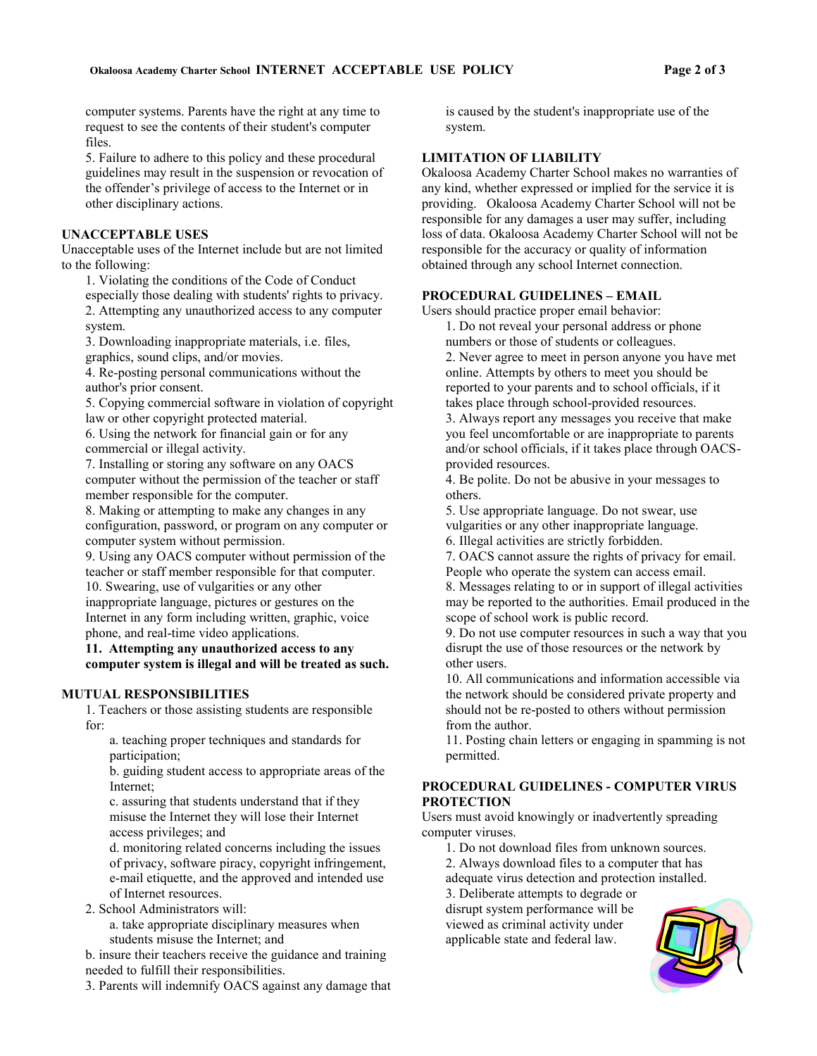computer systems. Parents have the right at any time to request to see the contents of their student's computer files.

5. Failure to adhere to this policy and these procedural guidelines may result in the suspension or revocation of the offender's privilege of access to the Internet or in other disciplinary actions.

## **UNACCEPTABLE USES**

Unacceptable uses of the Internet include but are not limited to the following:

1. Violating the conditions of the Code of Conduct especially those dealing with students' rights to privacy. 2. Attempting any unauthorized access to any computer system.

3. Downloading inappropriate materials, i.e. files, graphics, sound clips, and/or movies.

4. Re-posting personal communications without the author's prior consent.

5. Copying commercial software in violation of copyright law or other copyright protected material.

6. Using the network for financial gain or for any commercial or illegal activity.

7. Installing or storing any software on any OACS computer without the permission of the teacher or staff member responsible for the computer.

8. Making or attempting to make any changes in any configuration, password, or program on any computer or computer system without permission.

9. Using any OACS computer without permission of the teacher or staff member responsible for that computer. 10. Swearing, use of vulgarities or any other inappropriate language, pictures or gestures on the Internet in any form including written, graphic, voice phone, and real-time video applications.

**11. Attempting any unauthorized access to any computer system is illegal and will be treated as such.**

#### **MUTUAL RESPONSIBILITIES**

1. Teachers or those assisting students are responsible for:

a. teaching proper techniques and standards for participation;

b. guiding student access to appropriate areas of the Internet;

c. assuring that students understand that if they misuse the Internet they will lose their Internet access privileges; and

d. monitoring related concerns including the issues of privacy, software piracy, copyright infringement, e-mail etiquette, and the approved and intended use of Internet resources.

2. School Administrators will:

a. take appropriate disciplinary measures when students misuse the Internet; and

b. insure their teachers receive the guidance and training needed to fulfill their responsibilities.

3. Parents will indemnify OACS against any damage that

is caused by the student's inappropriate use of the system.

# **LIMITATION OF LIABILITY**

Okaloosa Academy Charter School makes no warranties of any kind, whether expressed or implied for the service it is providing. Okaloosa Academy Charter School will not be responsible for any damages a user may suffer, including loss of data. Okaloosa Academy Charter School will not be responsible for the accuracy or quality of information obtained through any school Internet connection.

## **PROCEDURAL GUIDELINES – EMAIL**

Users should practice proper email behavior:

1. Do not reveal your personal address or phone numbers or those of students or colleagues.

2. Never agree to meet in person anyone you have met online. Attempts by others to meet you should be reported to your parents and to school officials, if it takes place through school-provided resources.

3. Always report any messages you receive that make you feel uncomfortable or are inappropriate to parents and/or school officials, if it takes place through OACSprovided resources.

4. Be polite. Do not be abusive in your messages to others.

5. Use appropriate language. Do not swear, use

vulgarities or any other inappropriate language.

6. Illegal activities are strictly forbidden.

7. OACS cannot assure the rights of privacy for email. People who operate the system can access email.

8. Messages relating to or in support of illegal activities may be reported to the authorities. Email produced in the scope of school work is public record.

9. Do not use computer resources in such a way that you disrupt the use of those resources or the network by other users.

10. All communications and information accessible via the network should be considered private property and should not be re-posted to others without permission from the author.

11. Posting chain letters or engaging in spamming is not permitted.

# **PROCEDURAL GUIDELINES - COMPUTER VIRUS PROTECTION**

Users must avoid knowingly or inadvertently spreading computer viruses.

1. Do not download files from unknown sources.

2. Always download files to a computer that has

adequate virus detection and protection installed.

3. Deliberate attempts to degrade or

disrupt system performance will be viewed as criminal activity under applicable state and federal law.